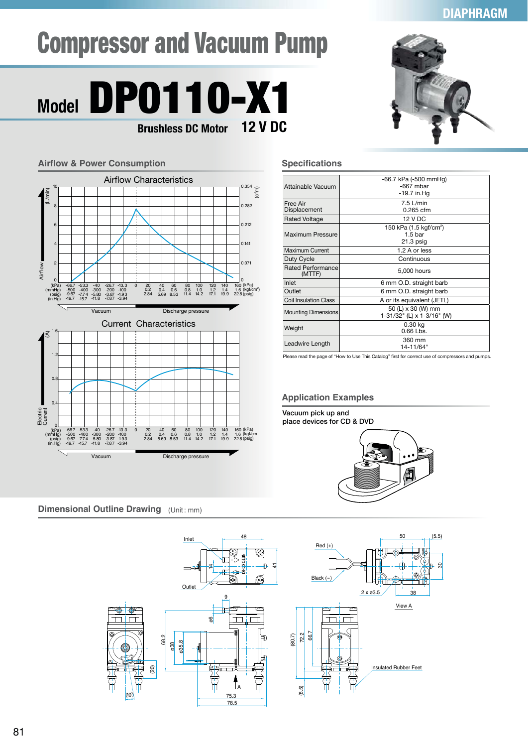## **DIAPHRAGM**

# Compressor and Vacuum Pump



#### **Airflow & Power Consumption** Current Characteristics Airflow Characteristics Airflow (L/min) Electric Current  $rac{6}{5}$ (A) Vacuum Discharge pressure Vacuum Discharge pressure 0.282 0.212 0.141 0.071 10 8 6 4 2 0 0 (kPa) (mmHg) (psig) (in.Hg) (kPa)<br>(kgf/cm<sup>2</sup><br>(psig) ) -53.3 -400 -7.74 -15.7 -40 -300 -5.80 -11.8 -26.7 -200 -3.87 -7.87 -13.3 -100 -1.93 -3.94 40 0.4 5.69 60 0.6 8.53 80 0.8 11.4 100 1.0 14.2 120 1.2 17.1 140 1.4 19.9 160 1.6 22.8 -66.7 -500 -9.67 -19.7 0 20<br>0.2<br>2.84 (kPa) (mmHg) (psig) (in.Hg) (kPa) (kgf/cm (psig) -53.3 -400 -7.74 -15.7 -40 -300 -5.80 -11.8 -26.7 -200 -3.87 -7.87 -13.3 -100 -1.93 -3.94 40 0.4 5.69 60 0.6 8.53 80 0.8 11.4 100 1.0 14.2 120 1.2 17.1 140 1.4 19.9 160 1.6 22.8 -66.7 -500 -9.67 -19.7 0 20 0.2 2.84 1.6  $\overline{0}$ . 1.2  $\overline{0}$ 0



### **Specifications**

| Attainable Vacuum                  | -66.7 kPa (-500 mmHg)              |
|------------------------------------|------------------------------------|
|                                    | $-667$ mbar                        |
|                                    | -19.7 in Hq                        |
|                                    |                                    |
| Free Air                           | $7.5$ L/min                        |
| Displacement                       | $0.265$ cfm                        |
|                                    |                                    |
| <b>Rated Voltage</b>               | <b>12 V DC</b>                     |
| Maximum Pressure                   | 150 kPa (1.5 kgf/cm <sup>2</sup> ) |
|                                    | 1.5 <sub>bar</sub>                 |
|                                    | $21.3$ psig                        |
| Maximum Current                    | 1.2 A or less                      |
| Duty Cycle                         | Continuous                         |
| <b>Rated Performance</b><br>(MTTF) | 5,000 hours                        |
| Inlet                              | 6 mm O.D. straight barb            |
| Outlet                             | 6 mm O.D. straight barb            |
| <b>Coil Insulation Class</b>       | A or its equivalent (JETL)         |
| <b>Mounting Dimensions</b>         | 50 (L) x 30 (W) mm                 |
|                                    | 1-31/32" (L) x 1-3/16" (W)         |
| Weight                             |                                    |
|                                    | 0.30 kg                            |
|                                    | 0.66 Lbs.                          |
| Leadwire Length                    | 360 mm                             |
|                                    | 14-11/64"                          |
|                                    |                                    |

Please read the page of "How to Use This Catalog" first for correct use of compressors and pumps

## **Application Examples**

**Vacuum pick up and place devices for CD & DVD**



30

**Dimensional Outline Drawing** (Unit: mm)

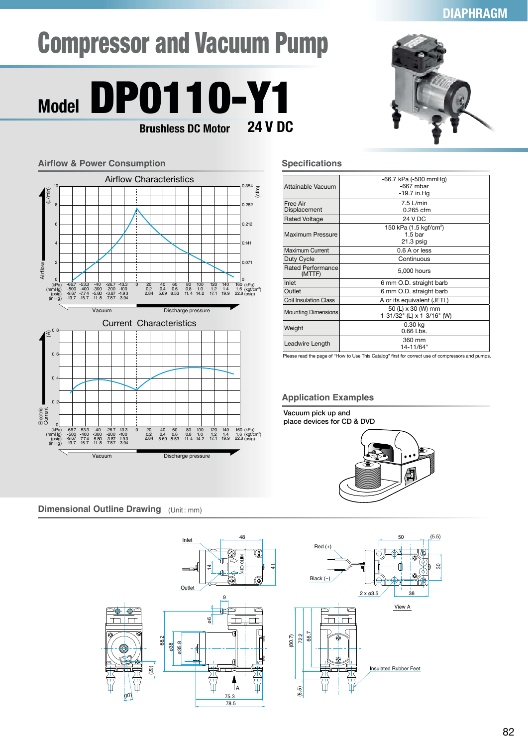# **DIAPHRAGM**

# Compressor and Vacuum Pump

# Model **DP0110-Y1**<br>Brushless DC Motor 24 V DC **Brushless DC Motor**



# **LINE LI**

### **Specifications**

| Attainable Vacuum                  | -66.7 kPa (-500 mmHg)<br>$-667$ mbar<br>-19.7 in Hq                   |
|------------------------------------|-----------------------------------------------------------------------|
| Free Air<br>Displacement           | $7.5$ L/min<br>0.265 cfm                                              |
| <b>Rated Voltage</b>               | 24 V DC                                                               |
| Maximum Pressure                   | 150 kPa (1.5 kgf/cm <sup>2</sup> )<br>1.5 <sub>bar</sub><br>21.3 psig |
| Maximum Current                    | 0.6 A or less                                                         |
| Duty Cycle                         | Continuous                                                            |
| <b>Rated Performance</b><br>(MTTF) | 5,000 hours                                                           |
| Inlet                              | 6 mm O.D. straight barb                                               |
| Outlet                             | 6 mm O.D. straight barb                                               |
| <b>Coil Insulation Class</b>       | A or its equivalent (JETL)                                            |
| <b>Mounting Dimensions</b>         | 50 (L) x 30 (W) mm<br>1-31/32" (L) x 1-3/16" (W)                      |
| Weight                             | 0.30 kg<br>0.66 Lbs.                                                  |
| Leadwire Length                    | 360 mm<br>14-11/64"                                                   |

Please read the page of "How to Use This Catalog" first for correct use of compressors and pumps.

## **Application Examples**

**Vacuum pick up and place devices for CD & DVD**



**Dimensional Outline Drawing** (Unit: mm)